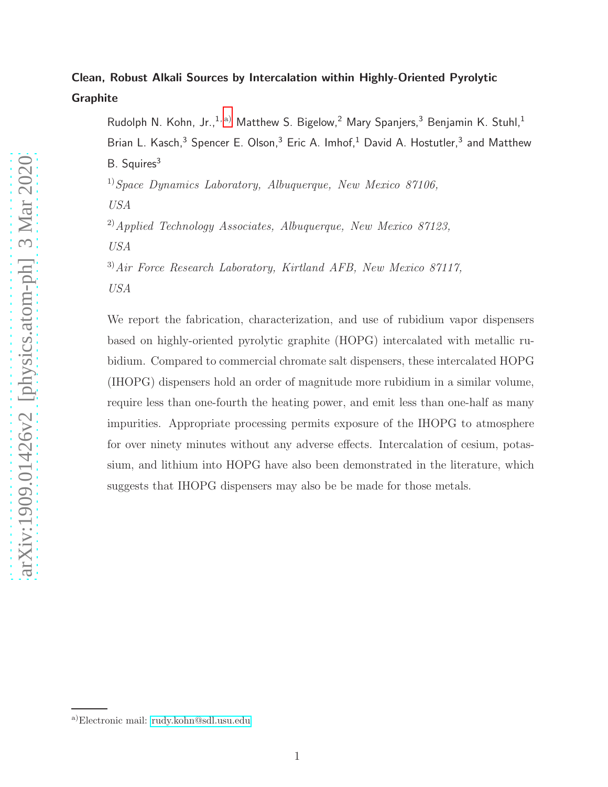# Clean, Robust Alkali Sources by Intercalation within Highly-Oriented Pyrolytic Graphite

Rudolph N. Kohn, Jr.,<sup>1, [a\)](#page-0-0)</sup> Matthew S. Bigelow,<sup>2</sup> Mary Spanjers,<sup>3</sup> Benjamin K. Stuhl,<sup>1</sup> Brian L. Kasch,<sup>3</sup> Spencer E. Olson,<sup>3</sup> Eric A. Imhof,<sup>1</sup> David A. Hostutler,<sup>3</sup> and Matthew B. Squires<sup>3</sup>

<sup>1)</sup>Space Dynamics Laboratory, Albuquerque, New Mexico 87106,

USA

 $^{2)}$ Applied Technology Associates, Albuquerque, New Mexico 87123,

USA

3)Air Force Research Laboratory, Kirtland AFB, New Mexico 87117,

USA

We report the fabrication, characterization, and use of rubidium vapor dispensers based on highly-oriented pyrolytic graphite (HOPG) intercalated with metallic rubidium. Compared to commercial chromate salt dispensers, these intercalated HOPG (IHOPG) dispensers hold an order of magnitude more rubidium in a similar volume, require less than one-fourth the heating power, and emit less than one-half as many impurities. Appropriate processing permits exposure of the IHOPG to atmosphere for over ninety minutes without any adverse effects. Intercalation of cesium, potassium, and lithium into HOPG have also been demonstrated in the literature, which suggests that IHOPG dispensers may also be be made for those metals.

<span id="page-0-0"></span>a)Electronic mail: [rudy.kohn@sdl.usu.edu](mailto:rudy.kohn@sdl.usu.edu)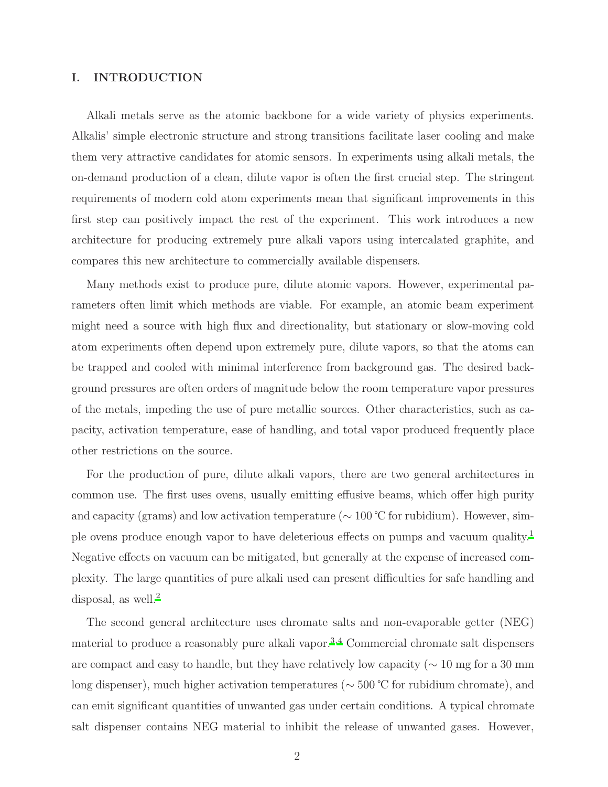# I. INTRODUCTION

Alkali metals serve as the atomic backbone for a wide variety of physics experiments. Alkalis' simple electronic structure and strong transitions facilitate laser cooling and make them very attractive candidates for atomic sensors. In experiments using alkali metals, the on-demand production of a clean, dilute vapor is often the first crucial step. The stringent requirements of modern cold atom experiments mean that significant improvements in this first step can positively impact the rest of the experiment. This work introduces a new architecture for producing extremely pure alkali vapors using intercalated graphite, and compares this new architecture to commercially available dispensers.

Many methods exist to produce pure, dilute atomic vapors. However, experimental parameters often limit which methods are viable. For example, an atomic beam experiment might need a source with high flux and directionality, but stationary or slow-moving cold atom experiments often depend upon extremely pure, dilute vapors, so that the atoms can be trapped and cooled with minimal interference from background gas. The desired background pressures are often orders of magnitude below the room temperature vapor pressures of the metals, impeding the use of pure metallic sources. Other characteristics, such as capacity, activation temperature, ease of handling, and total vapor produced frequently place other restrictions on the source.

For the production of pure, dilute alkali vapors, there are two general architectures in common use. The first uses ovens, usually emitting effusive beams, which offer high purity and capacity (grams) and low activation temperature ( $\sim 100$  °C for rubidium). However, simple ovens produce enough vapor to have deleterious effects on pumps and vacuum quality.[1](#page-18-0) Negative effects on vacuum can be mitigated, but generally at the expense of increased complexity. The large quantities of pure alkali used can present difficulties for safe handling and disposal, as well.<sup>[2](#page-18-1)</sup>

The second general architecture uses chromate salts and non-evaporable getter (NEG) material to produce a reasonably pure alkali vapor.<sup>[3](#page-18-2)[,4](#page-18-3)</sup> Commercial chromate salt dispensers are compact and easy to handle, but they have relatively low capacity ( $\sim 10$  mg for a 30 mm long dispenser), much higher activation temperatures (∼ 500 ℃ for rubidium chromate), and can emit significant quantities of unwanted gas under certain conditions. A typical chromate salt dispenser contains NEG material to inhibit the release of unwanted gases. However,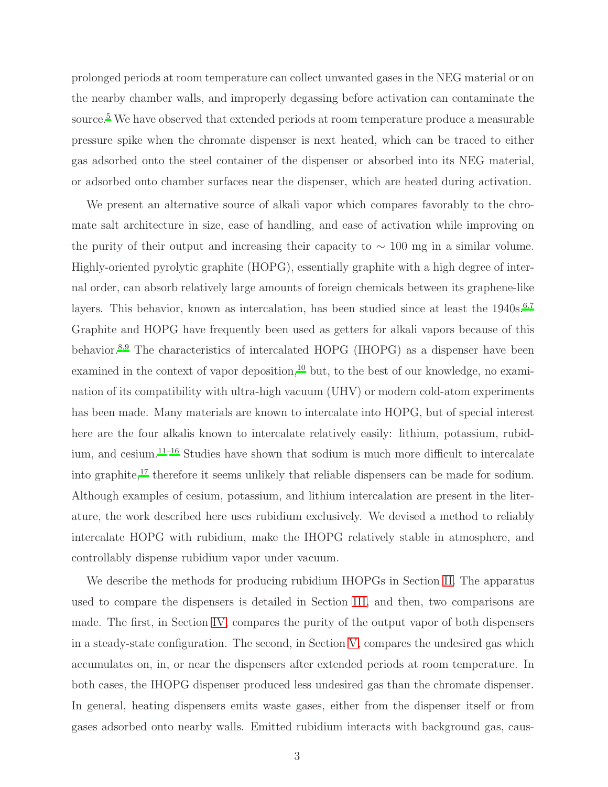prolonged periods at room temperature can collect unwanted gases in the NEG material or on the nearby chamber walls, and improperly degassing before activation can contaminate the source.<sup>[5](#page-18-4)</sup> We have observed that extended periods at room temperature produce a measurable pressure spike when the chromate dispenser is next heated, which can be traced to either gas adsorbed onto the steel container of the dispenser or absorbed into its NEG material, or adsorbed onto chamber surfaces near the dispenser, which are heated during activation.

We present an alternative source of alkali vapor which compares favorably to the chromate salt architecture in size, ease of handling, and ease of activation while improving on the purity of their output and increasing their capacity to  $\sim 100$  mg in a similar volume. Highly-oriented pyrolytic graphite (HOPG), essentially graphite with a high degree of internal order, can absorb relatively large amounts of foreign chemicals between its graphene-like layers. This behavior, known as intercalation, has been studied since at least the  $1940s^{6,7}$  $1940s^{6,7}$  $1940s^{6,7}$  $1940s^{6,7}$ Graphite and HOPG have frequently been used as getters for alkali vapors because of this behavior.[8](#page-19-0)[,9](#page-19-1) The characteristics of intercalated HOPG (IHOPG) as a dispenser have been examined in the context of vapor deposition,<sup>[10](#page-19-2)</sup> but, to the best of our knowledge, no examination of its compatibility with ultra-high vacuum (UHV) or modern cold-atom experiments has been made. Many materials are known to intercalate into HOPG, but of special interest here are the four alkalis known to intercalate relatively easily: lithium, potassium, rubidium, and cesium.[11](#page-19-3)[–16](#page-19-4) Studies have shown that sodium is much more difficult to intercalate into graphite,<sup>[17](#page-19-5)</sup> therefore it seems unlikely that reliable dispensers can be made for sodium. Although examples of cesium, potassium, and lithium intercalation are present in the literature, the work described here uses rubidium exclusively. We devised a method to reliably intercalate HOPG with rubidium, make the IHOPG relatively stable in atmosphere, and controllably dispense rubidium vapor under vacuum.

We describe the methods for producing rubidium IHOPGs in Section [II.](#page-3-0) The apparatus used to compare the dispensers is detailed in Section [III,](#page-6-0) and then, two comparisons are made. The first, in Section [IV,](#page-9-0) compares the purity of the output vapor of both dispensers in a steady-state configuration. The second, in Section [V,](#page-13-0) compares the undesired gas which accumulates on, in, or near the dispensers after extended periods at room temperature. In both cases, the IHOPG dispenser produced less undesired gas than the chromate dispenser. In general, heating dispensers emits waste gases, either from the dispenser itself or from gases adsorbed onto nearby walls. Emitted rubidium interacts with background gas, caus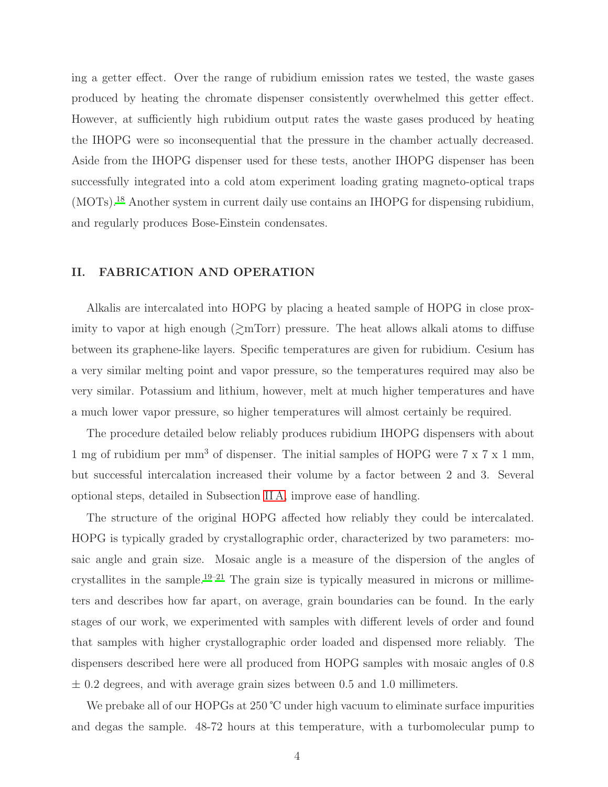ing a getter effect. Over the range of rubidium emission rates we tested, the waste gases produced by heating the chromate dispenser consistently overwhelmed this getter effect. However, at sufficiently high rubidium output rates the waste gases produced by heating the IHOPG were so inconsequential that the pressure in the chamber actually decreased. Aside from the IHOPG dispenser used for these tests, another IHOPG dispenser has been successfully integrated into a cold atom experiment loading grating magneto-optical traps (MOTs).[18](#page-19-6) Another system in current daily use contains an IHOPG for dispensing rubidium, and regularly produces Bose-Einstein condensates.

#### <span id="page-3-0"></span>II. FABRICATION AND OPERATION

Alkalis are intercalated into HOPG by placing a heated sample of HOPG in close proximity to vapor at high enough  $\geq m\text{Tor}$  pressure. The heat allows alkali atoms to diffuse between its graphene-like layers. Specific temperatures are given for rubidium. Cesium has a very similar melting point and vapor pressure, so the temperatures required may also be very similar. Potassium and lithium, however, melt at much higher temperatures and have a much lower vapor pressure, so higher temperatures will almost certainly be required.

The procedure detailed below reliably produces rubidium IHOPG dispensers with about 1 mg of rubidium per mm<sup>3</sup> of dispenser. The initial samples of HOPG were  $7 \times 7 \times 1$  mm, but successful intercalation increased their volume by a factor between 2 and 3. Several optional steps, detailed in Subsection [II A,](#page-5-0) improve ease of handling.

The structure of the original HOPG affected how reliably they could be intercalated. HOPG is typically graded by crystallographic order, characterized by two parameters: mosaic angle and grain size. Mosaic angle is a measure of the dispersion of the angles of crystallites in the sample.<sup>[19](#page-19-7)[–21](#page-19-8)</sup> The grain size is typically measured in microns or millimeters and describes how far apart, on average, grain boundaries can be found. In the early stages of our work, we experimented with samples with different levels of order and found that samples with higher crystallographic order loaded and dispensed more reliably. The dispensers described here were all produced from HOPG samples with mosaic angles of 0.8  $\pm$  0.2 degrees, and with average grain sizes between 0.5 and 1.0 millimeters.

We prebake all of our HOPGs at 250 ℃ under high vacuum to eliminate surface impurities and degas the sample. 48-72 hours at this temperature, with a turbomolecular pump to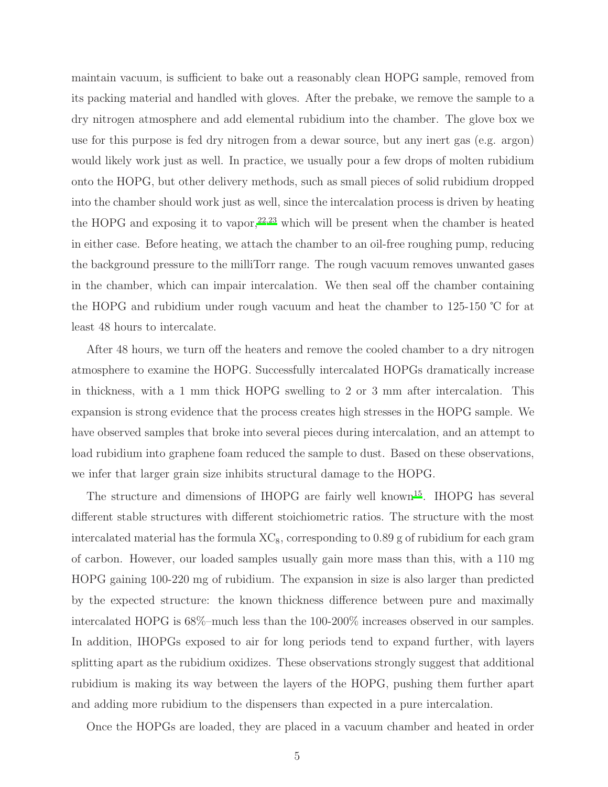maintain vacuum, is sufficient to bake out a reasonably clean HOPG sample, removed from its packing material and handled with gloves. After the prebake, we remove the sample to a dry nitrogen atmosphere and add elemental rubidium into the chamber. The glove box we use for this purpose is fed dry nitrogen from a dewar source, but any inert gas (e.g. argon) would likely work just as well. In practice, we usually pour a few drops of molten rubidium onto the HOPG, but other delivery methods, such as small pieces of solid rubidium dropped into the chamber should work just as well, since the intercalation process is driven by heating the HOPG and exposing it to vapor,  $22,23$  $22,23$  which will be present when the chamber is heated in either case. Before heating, we attach the chamber to an oil-free roughing pump, reducing the background pressure to the milliTorr range. The rough vacuum removes unwanted gases in the chamber, which can impair intercalation. We then seal off the chamber containing the HOPG and rubidium under rough vacuum and heat the chamber to 125-150 ℃ for at least 48 hours to intercalate.

After 48 hours, we turn off the heaters and remove the cooled chamber to a dry nitrogen atmosphere to examine the HOPG. Successfully intercalated HOPGs dramatically increase in thickness, with a 1 mm thick HOPG swelling to 2 or 3 mm after intercalation. This expansion is strong evidence that the process creates high stresses in the HOPG sample. We have observed samples that broke into several pieces during intercalation, and an attempt to load rubidium into graphene foam reduced the sample to dust. Based on these observations, we infer that larger grain size inhibits structural damage to the HOPG.

The structure and dimensions of IHOPG are fairly well known<sup>[15](#page-19-11)</sup>. IHOPG has several different stable structures with different stoichiometric ratios. The structure with the most intercalated material has the formula  $\rm XC_8$ , corresponding to 0.89 g of rubidium for each gram of carbon. However, our loaded samples usually gain more mass than this, with a 110 mg HOPG gaining 100-220 mg of rubidium. The expansion in size is also larger than predicted by the expected structure: the known thickness difference between pure and maximally intercalated HOPG is 68%–much less than the 100-200% increases observed in our samples. In addition, IHOPGs exposed to air for long periods tend to expand further, with layers splitting apart as the rubidium oxidizes. These observations strongly suggest that additional rubidium is making its way between the layers of the HOPG, pushing them further apart and adding more rubidium to the dispensers than expected in a pure intercalation.

Once the HOPGs are loaded, they are placed in a vacuum chamber and heated in order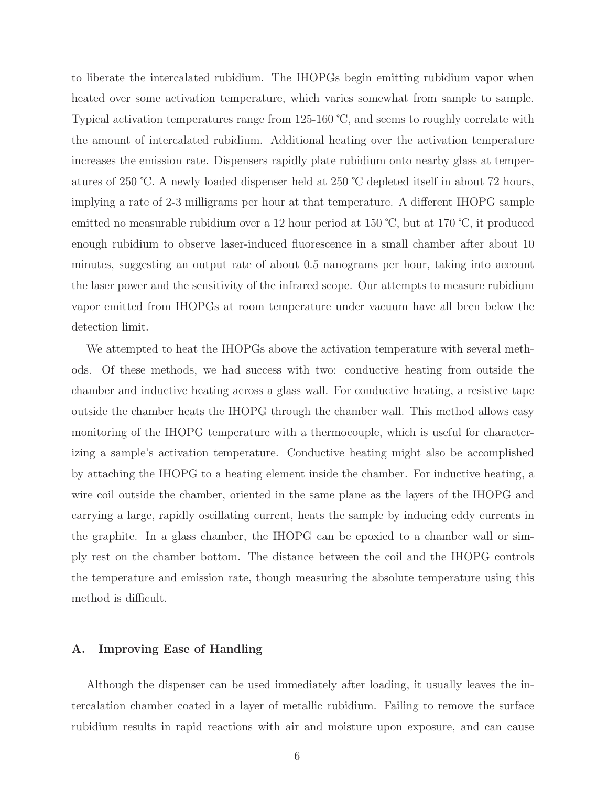to liberate the intercalated rubidium. The IHOPGs begin emitting rubidium vapor when heated over some activation temperature, which varies somewhat from sample to sample. Typical activation temperatures range from 125-160 ℃, and seems to roughly correlate with the amount of intercalated rubidium. Additional heating over the activation temperature increases the emission rate. Dispensers rapidly plate rubidium onto nearby glass at temperatures of 250 ℃. A newly loaded dispenser held at 250 ℃ depleted itself in about 72 hours, implying a rate of 2-3 milligrams per hour at that temperature. A different IHOPG sample emitted no measurable rubidium over a 12 hour period at 150 ℃, but at 170 ℃, it produced enough rubidium to observe laser-induced fluorescence in a small chamber after about 10 minutes, suggesting an output rate of about 0.5 nanograms per hour, taking into account the laser power and the sensitivity of the infrared scope. Our attempts to measure rubidium vapor emitted from IHOPGs at room temperature under vacuum have all been below the detection limit.

We attempted to heat the IHOPGs above the activation temperature with several methods. Of these methods, we had success with two: conductive heating from outside the chamber and inductive heating across a glass wall. For conductive heating, a resistive tape outside the chamber heats the IHOPG through the chamber wall. This method allows easy monitoring of the IHOPG temperature with a thermocouple, which is useful for characterizing a sample's activation temperature. Conductive heating might also be accomplished by attaching the IHOPG to a heating element inside the chamber. For inductive heating, a wire coil outside the chamber, oriented in the same plane as the layers of the IHOPG and carrying a large, rapidly oscillating current, heats the sample by inducing eddy currents in the graphite. In a glass chamber, the IHOPG can be epoxied to a chamber wall or simply rest on the chamber bottom. The distance between the coil and the IHOPG controls the temperature and emission rate, though measuring the absolute temperature using this method is difficult.

#### <span id="page-5-0"></span>A. Improving Ease of Handling

Although the dispenser can be used immediately after loading, it usually leaves the intercalation chamber coated in a layer of metallic rubidium. Failing to remove the surface rubidium results in rapid reactions with air and moisture upon exposure, and can cause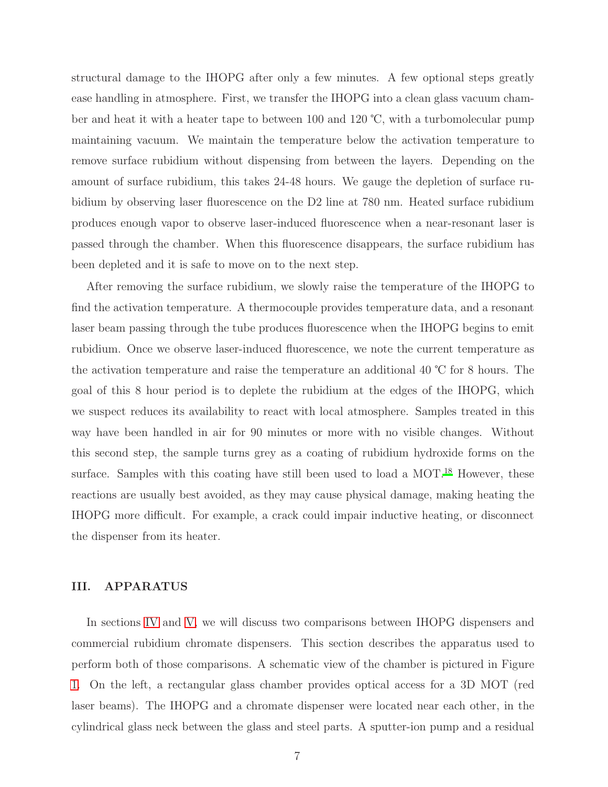structural damage to the IHOPG after only a few minutes. A few optional steps greatly ease handling in atmosphere. First, we transfer the IHOPG into a clean glass vacuum chamber and heat it with a heater tape to between 100 and 120 ℃, with a turbomolecular pump maintaining vacuum. We maintain the temperature below the activation temperature to remove surface rubidium without dispensing from between the layers. Depending on the amount of surface rubidium, this takes 24-48 hours. We gauge the depletion of surface rubidium by observing laser fluorescence on the D2 line at 780 nm. Heated surface rubidium produces enough vapor to observe laser-induced fluorescence when a near-resonant laser is passed through the chamber. When this fluorescence disappears, the surface rubidium has been depleted and it is safe to move on to the next step.

After removing the surface rubidium, we slowly raise the temperature of the IHOPG to find the activation temperature. A thermocouple provides temperature data, and a resonant laser beam passing through the tube produces fluorescence when the IHOPG begins to emit rubidium. Once we observe laser-induced fluorescence, we note the current temperature as the activation temperature and raise the temperature an additional 40 ℃ for 8 hours. The goal of this 8 hour period is to deplete the rubidium at the edges of the IHOPG, which we suspect reduces its availability to react with local atmosphere. Samples treated in this way have been handled in air for 90 minutes or more with no visible changes. Without this second step, the sample turns grey as a coating of rubidium hydroxide forms on the surface. Samples with this coating have still been used to load a MOT.<sup>[18](#page-19-6)</sup> However, these reactions are usually best avoided, as they may cause physical damage, making heating the IHOPG more difficult. For example, a crack could impair inductive heating, or disconnect the dispenser from its heater.

#### <span id="page-6-0"></span>III. APPARATUS

In sections [IV](#page-9-0) and [V,](#page-13-0) we will discuss two comparisons between IHOPG dispensers and commercial rubidium chromate dispensers. This section describes the apparatus used to perform both of those comparisons. A schematic view of the chamber is pictured in Figure [1.](#page-7-0) On the left, a rectangular glass chamber provides optical access for a 3D MOT (red laser beams). The IHOPG and a chromate dispenser were located near each other, in the cylindrical glass neck between the glass and steel parts. A sputter-ion pump and a residual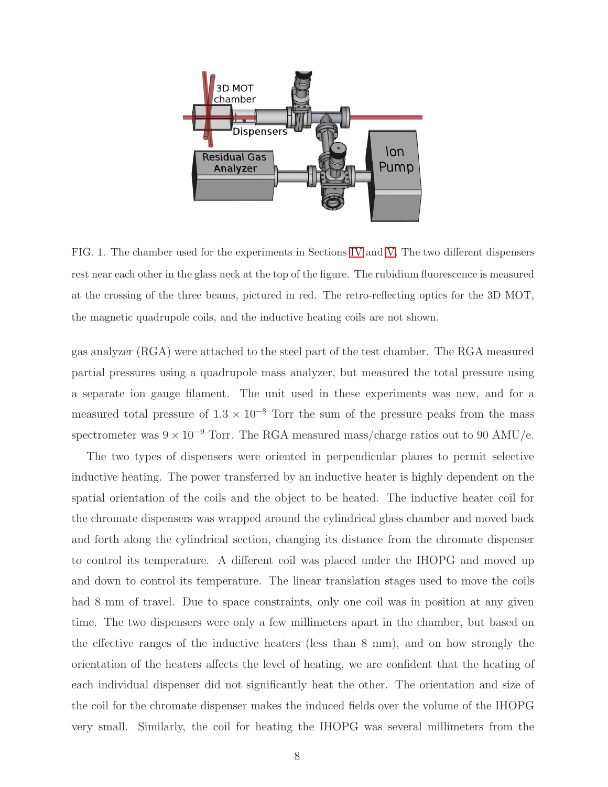

<span id="page-7-0"></span>FIG. 1. The chamber used for the experiments in Sections [IV](#page-9-0) and [V.](#page-13-0) The two different dispensers rest near each other in the glass neck at the top of the figure. The rubidium fluorescence is measured at the crossing of the three beams, pictured in red. The retro-reflecting optics for the 3D MOT, the magnetic quadrupole coils, and the inductive heating coils are not shown.

gas analyzer (RGA) were attached to the steel part of the test chamber. The RGA measured partial pressures using a quadrupole mass analyzer, but measured the total pressure using a separate ion gauge filament. The unit used in these experiments was new, and for a measured total pressure of  $1.3 \times 10^{-8}$  Torr the sum of the pressure peaks from the mass spectrometer was  $9 \times 10^{-9}$  Torr. The RGA measured mass/charge ratios out to 90 AMU/e.

The two types of dispensers were oriented in perpendicular planes to permit selective inductive heating. The power transferred by an inductive heater is highly dependent on the spatial orientation of the coils and the object to be heated. The inductive heater coil for the chromate dispensers was wrapped around the cylindrical glass chamber and moved back and forth along the cylindrical section, changing its distance from the chromate dispenser to control its temperature. A different coil was placed under the IHOPG and moved up and down to control its temperature. The linear translation stages used to move the coils had 8 mm of travel. Due to space constraints, only one coil was in position at any given time. The two dispensers were only a few millimeters apart in the chamber, but based on the effective ranges of the inductive heaters (less than 8 mm), and on how strongly the orientation of the heaters affects the level of heating, we are confident that the heating of each individual dispenser did not significantly heat the other. The orientation and size of the coil for the chromate dispenser makes the induced fields over the volume of the IHOPG very small. Similarly, the coil for heating the IHOPG was several millimeters from the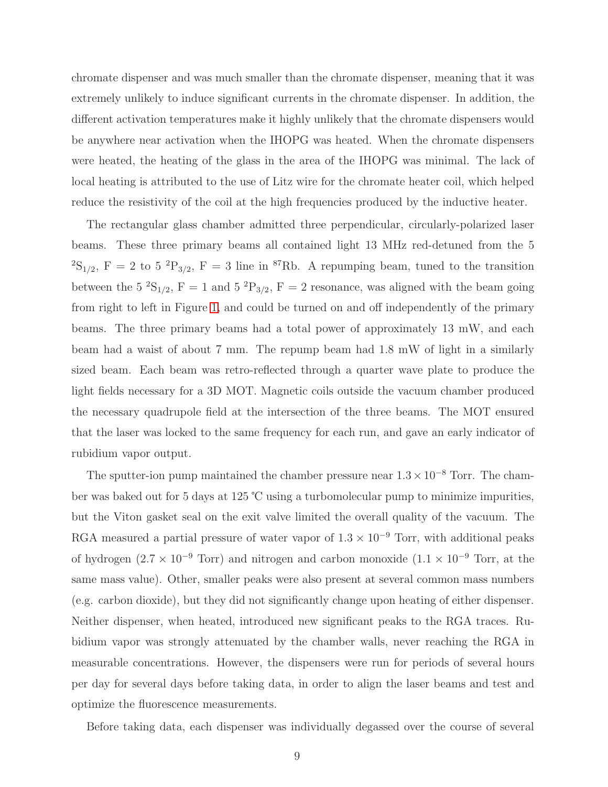chromate dispenser and was much smaller than the chromate dispenser, meaning that it was extremely unlikely to induce significant currents in the chromate dispenser. In addition, the different activation temperatures make it highly unlikely that the chromate dispensers would be anywhere near activation when the IHOPG was heated. When the chromate dispensers were heated, the heating of the glass in the area of the IHOPG was minimal. The lack of local heating is attributed to the use of Litz wire for the chromate heater coil, which helped reduce the resistivity of the coil at the high frequencies produced by the inductive heater.

The rectangular glass chamber admitted three perpendicular, circularly-polarized laser beams. These three primary beams all contained light 13 MHz red-detuned from the 5  ${}^{2}S_{1/2}$ , F = 2 to 5  ${}^{2}P_{3/2}$ , F = 3 line in  ${}^{87}Rb$ . A repumping beam, tuned to the transition between the 5<sup>2</sup>S<sub>1/2</sub>, F = 1 and 5<sup>2</sup>P<sub>3/2</sub>, F = 2 resonance, was aligned with the beam going from right to left in Figure [1,](#page-7-0) and could be turned on and off independently of the primary beams. The three primary beams had a total power of approximately 13 mW, and each beam had a waist of about 7 mm. The repump beam had 1.8 mW of light in a similarly sized beam. Each beam was retro-reflected through a quarter wave plate to produce the light fields necessary for a 3D MOT. Magnetic coils outside the vacuum chamber produced the necessary quadrupole field at the intersection of the three beams. The MOT ensured that the laser was locked to the same frequency for each run, and gave an early indicator of rubidium vapor output.

The sputter-ion pump maintained the chamber pressure near  $1.3 \times 10^{-8}$  Torr. The chamber was baked out for 5 days at 125 ℃ using a turbomolecular pump to minimize impurities, but the Viton gasket seal on the exit valve limited the overall quality of the vacuum. The RGA measured a partial pressure of water vapor of  $1.3 \times 10^{-9}$  Torr, with additional peaks of hydrogen (2.7 × 10<sup>-9</sup> Torr) and nitrogen and carbon monoxide (1.1 × 10<sup>-9</sup> Torr, at the same mass value). Other, smaller peaks were also present at several common mass numbers (e.g. carbon dioxide), but they did not significantly change upon heating of either dispenser. Neither dispenser, when heated, introduced new significant peaks to the RGA traces. Rubidium vapor was strongly attenuated by the chamber walls, never reaching the RGA in measurable concentrations. However, the dispensers were run for periods of several hours per day for several days before taking data, in order to align the laser beams and test and optimize the fluorescence measurements.

Before taking data, each dispenser was individually degassed over the course of several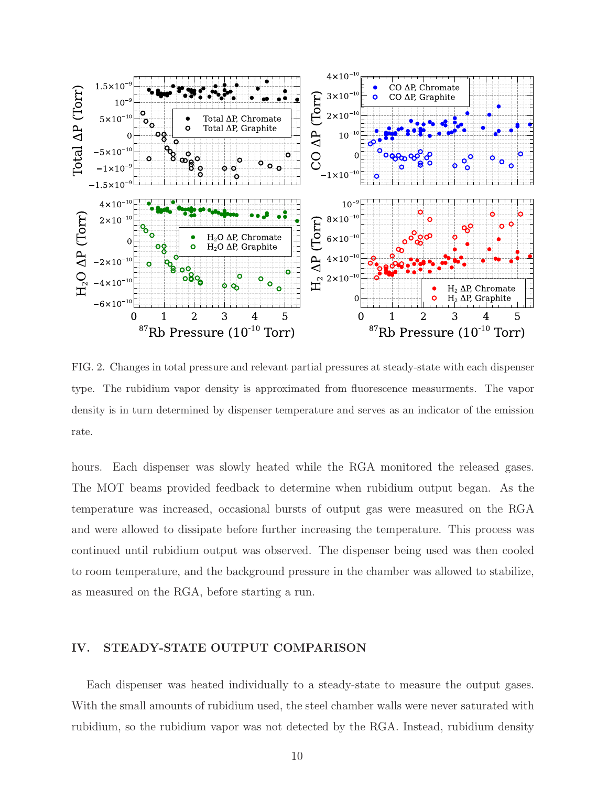

<span id="page-9-1"></span>FIG. 2. Changes in total pressure and relevant partial pressures at steady-state with each dispenser type. The rubidium vapor density is approximated from fluorescence measurments. The vapor density is in turn determined by dispenser temperature and serves as an indicator of the emission rate.

hours. Each dispenser was slowly heated while the RGA monitored the released gases. The MOT beams provided feedback to determine when rubidium output began. As the temperature was increased, occasional bursts of output gas were measured on the RGA and were allowed to dissipate before further increasing the temperature. This process was continued until rubidium output was observed. The dispenser being used was then cooled to room temperature, and the background pressure in the chamber was allowed to stabilize, as measured on the RGA, before starting a run.

# <span id="page-9-0"></span>IV. STEADY-STATE OUTPUT COMPARISON

Each dispenser was heated individually to a steady-state to measure the output gases. With the small amounts of rubidium used, the steel chamber walls were never saturated with rubidium, so the rubidium vapor was not detected by the RGA. Instead, rubidium density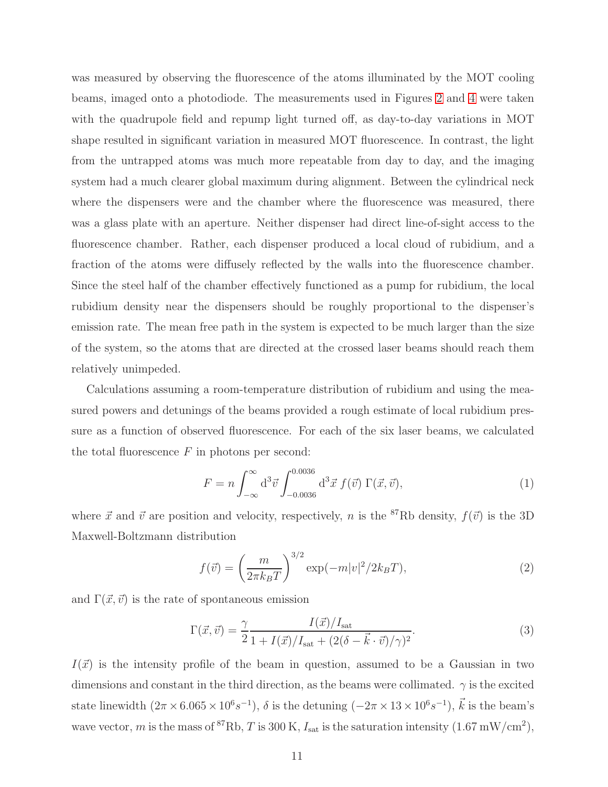was measured by observing the fluorescence of the atoms illuminated by the MOT cooling beams, imaged onto a photodiode. The measurements used in Figures [2](#page-9-1) and [4](#page-14-0) were taken with the quadrupole field and repump light turned off, as day-to-day variations in MOT shape resulted in significant variation in measured MOT fluorescence. In contrast, the light from the untrapped atoms was much more repeatable from day to day, and the imaging system had a much clearer global maximum during alignment. Between the cylindrical neck where the dispensers were and the chamber where the fluorescence was measured, there was a glass plate with an aperture. Neither dispenser had direct line-of-sight access to the fluorescence chamber. Rather, each dispenser produced a local cloud of rubidium, and a fraction of the atoms were diffusely reflected by the walls into the fluorescence chamber. Since the steel half of the chamber effectively functioned as a pump for rubidium, the local rubidium density near the dispensers should be roughly proportional to the dispenser's emission rate. The mean free path in the system is expected to be much larger than the size of the system, so the atoms that are directed at the crossed laser beams should reach them relatively unimpeded.

Calculations assuming a room-temperature distribution of rubidium and using the measured powers and detunings of the beams provided a rough estimate of local rubidium pressure as a function of observed fluorescence. For each of the six laser beams, we calculated the total fluorescence  $F$  in photons per second:

$$
F = n \int_{-\infty}^{\infty} d^3 \vec{v} \int_{-0.0036}^{0.0036} d^3 \vec{x} f(\vec{v}) \Gamma(\vec{x}, \vec{v}), \tag{1}
$$

where  $\vec{x}$  and  $\vec{v}$  are position and velocity, respectively, n is the <sup>87</sup>Rb density,  $f(\vec{v})$  is the 3D Maxwell-Boltzmann distribution

$$
f(\vec{v}) = \left(\frac{m}{2\pi k_B T}\right)^{3/2} \exp(-m|v|^2/2k_B T),
$$
 (2)

and  $\Gamma(\vec{x}, \vec{v})$  is the rate of spontaneous emission

$$
\Gamma(\vec{x}, \vec{v}) = \frac{\gamma}{2} \frac{I(\vec{x})/I_{\text{sat}}}{1 + I(\vec{x})/I_{\text{sat}} + (2(\delta - \vec{k} \cdot \vec{v})/\gamma)^2}.
$$
\n(3)

 $I(\vec{x})$  is the intensity profile of the beam in question, assumed to be a Gaussian in two dimensions and constant in the third direction, as the beams were collimated.  $\gamma$  is the excited state linewidth  $(2\pi \times 6.065 \times 10^{6}s^{-1})$ ,  $\delta$  is the detuning  $(-2\pi \times 13 \times 10^{6}s^{-1})$ ,  $\vec{k}$  is the beam's wave vector, m is the mass of <sup>87</sup>Rb, T is 300 K,  $I_{\text{sat}}$  is the saturation intensity  $(1.67 \text{ mW/cm}^2)$ ,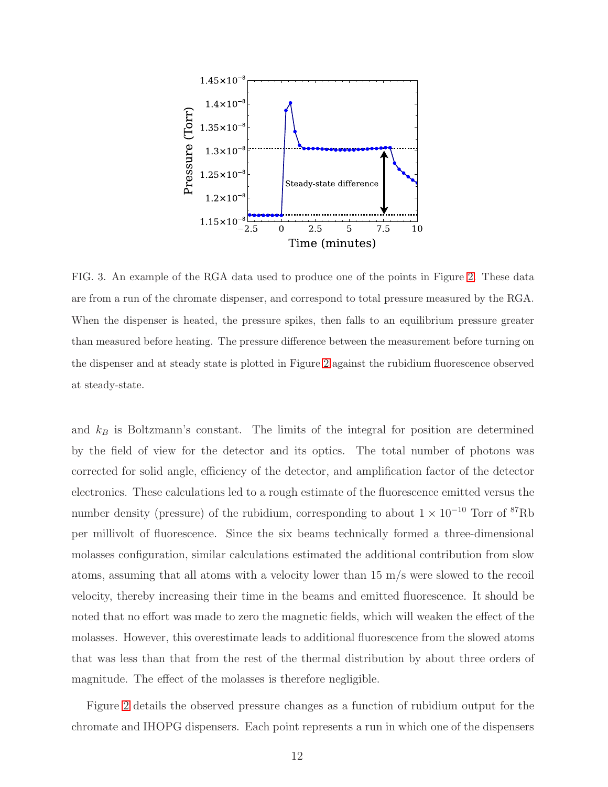

<span id="page-11-0"></span>FIG. 3. An example of the RGA data used to produce one of the points in Figure [2.](#page-9-1) These data are from a run of the chromate dispenser, and correspond to total pressure measured by the RGA. When the dispenser is heated, the pressure spikes, then falls to an equilibrium pressure greater than measured before heating. The pressure difference between the measurement before turning on the dispenser and at steady state is plotted in Figure [2](#page-9-1) against the rubidium fluorescence observed at steady-state.

and  $k_B$  is Boltzmann's constant. The limits of the integral for position are determined by the field of view for the detector and its optics. The total number of photons was corrected for solid angle, efficiency of the detector, and amplification factor of the detector electronics. These calculations led to a rough estimate of the fluorescence emitted versus the number density (pressure) of the rubidium, corresponding to about  $1 \times 10^{-10}$  Torr of <sup>87</sup>Rb per millivolt of fluorescence. Since the six beams technically formed a three-dimensional molasses configuration, similar calculations estimated the additional contribution from slow atoms, assuming that all atoms with a velocity lower than 15 m/s were slowed to the recoil velocity, thereby increasing their time in the beams and emitted fluorescence. It should be noted that no effort was made to zero the magnetic fields, which will weaken the effect of the molasses. However, this overestimate leads to additional fluorescence from the slowed atoms that was less than that from the rest of the thermal distribution by about three orders of magnitude. The effect of the molasses is therefore negligible.

Figure [2](#page-9-1) details the observed pressure changes as a function of rubidium output for the chromate and IHOPG dispensers. Each point represents a run in which one of the dispensers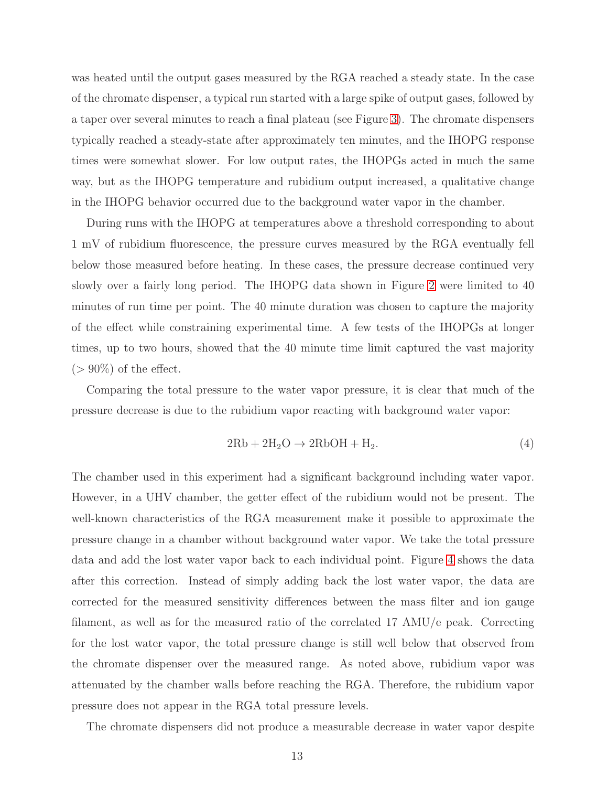was heated until the output gases measured by the RGA reached a steady state. In the case of the chromate dispenser, a typical run started with a large spike of output gases, followed by a taper over several minutes to reach a final plateau (see Figure [3\)](#page-11-0). The chromate dispensers typically reached a steady-state after approximately ten minutes, and the IHOPG response times were somewhat slower. For low output rates, the IHOPGs acted in much the same way, but as the IHOPG temperature and rubidium output increased, a qualitative change in the IHOPG behavior occurred due to the background water vapor in the chamber.

During runs with the IHOPG at temperatures above a threshold corresponding to about 1 mV of rubidium fluorescence, the pressure curves measured by the RGA eventually fell below those measured before heating. In these cases, the pressure decrease continued very slowly over a fairly long period. The IHOPG data shown in Figure [2](#page-9-1) were limited to 40 minutes of run time per point. The 40 minute duration was chosen to capture the majority of the effect while constraining experimental time. A few tests of the IHOPGs at longer times, up to two hours, showed that the 40 minute time limit captured the vast majority  $(> 90\%)$  of the effect.

Comparing the total pressure to the water vapor pressure, it is clear that much of the pressure decrease is due to the rubidium vapor reacting with background water vapor:

$$
2\text{Rb} + 2\text{H}_2\text{O} \rightarrow 2\text{RbOH} + \text{H}_2. \tag{4}
$$

The chamber used in this experiment had a significant background including water vapor. However, in a UHV chamber, the getter effect of the rubidium would not be present. The well-known characteristics of the RGA measurement make it possible to approximate the pressure change in a chamber without background water vapor. We take the total pressure data and add the lost water vapor back to each individual point. Figure [4](#page-14-0) shows the data after this correction. Instead of simply adding back the lost water vapor, the data are corrected for the measured sensitivity differences between the mass filter and ion gauge filament, as well as for the measured ratio of the correlated 17 AMU/e peak. Correcting for the lost water vapor, the total pressure change is still well below that observed from the chromate dispenser over the measured range. As noted above, rubidium vapor was attenuated by the chamber walls before reaching the RGA. Therefore, the rubidium vapor pressure does not appear in the RGA total pressure levels.

The chromate dispensers did not produce a measurable decrease in water vapor despite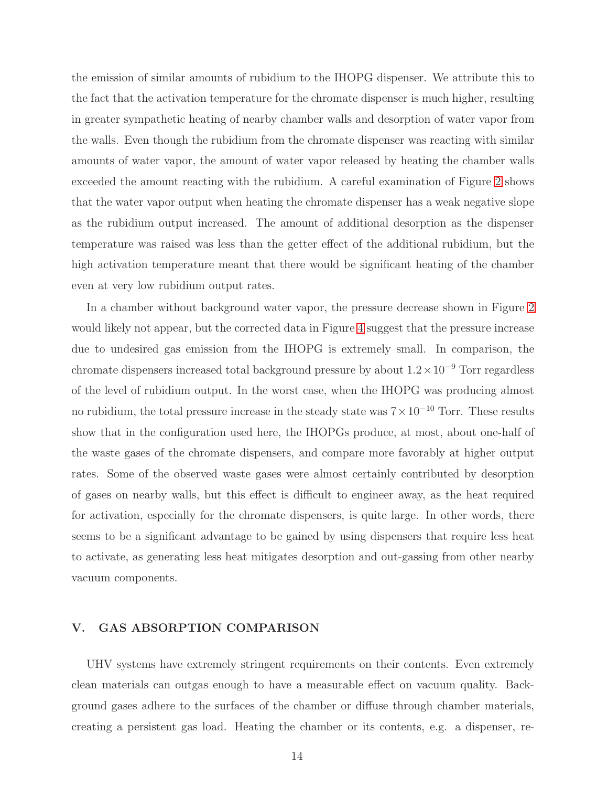the emission of similar amounts of rubidium to the IHOPG dispenser. We attribute this to the fact that the activation temperature for the chromate dispenser is much higher, resulting in greater sympathetic heating of nearby chamber walls and desorption of water vapor from the walls. Even though the rubidium from the chromate dispenser was reacting with similar amounts of water vapor, the amount of water vapor released by heating the chamber walls exceeded the amount reacting with the rubidium. A careful examination of Figure [2](#page-9-1) shows that the water vapor output when heating the chromate dispenser has a weak negative slope as the rubidium output increased. The amount of additional desorption as the dispenser temperature was raised was less than the getter effect of the additional rubidium, but the high activation temperature meant that there would be significant heating of the chamber even at very low rubidium output rates.

In a chamber without background water vapor, the pressure decrease shown in Figure [2](#page-9-1) would likely not appear, but the corrected data in Figure [4](#page-14-0) suggest that the pressure increase due to undesired gas emission from the IHOPG is extremely small. In comparison, the chromate dispensers increased total background pressure by about  $1.2 \times 10^{-9}$  Torr regardless of the level of rubidium output. In the worst case, when the IHOPG was producing almost no rubidium, the total pressure increase in the steady state was  $7 \times 10^{-10}$  Torr. These results show that in the configuration used here, the IHOPGs produce, at most, about one-half of the waste gases of the chromate dispensers, and compare more favorably at higher output rates. Some of the observed waste gases were almost certainly contributed by desorption of gases on nearby walls, but this effect is difficult to engineer away, as the heat required for activation, especially for the chromate dispensers, is quite large. In other words, there seems to be a significant advantage to be gained by using dispensers that require less heat to activate, as generating less heat mitigates desorption and out-gassing from other nearby vacuum components.

# <span id="page-13-0"></span>V. GAS ABSORPTION COMPARISON

UHV systems have extremely stringent requirements on their contents. Even extremely clean materials can outgas enough to have a measurable effect on vacuum quality. Background gases adhere to the surfaces of the chamber or diffuse through chamber materials, creating a persistent gas load. Heating the chamber or its contents, e.g. a dispenser, re-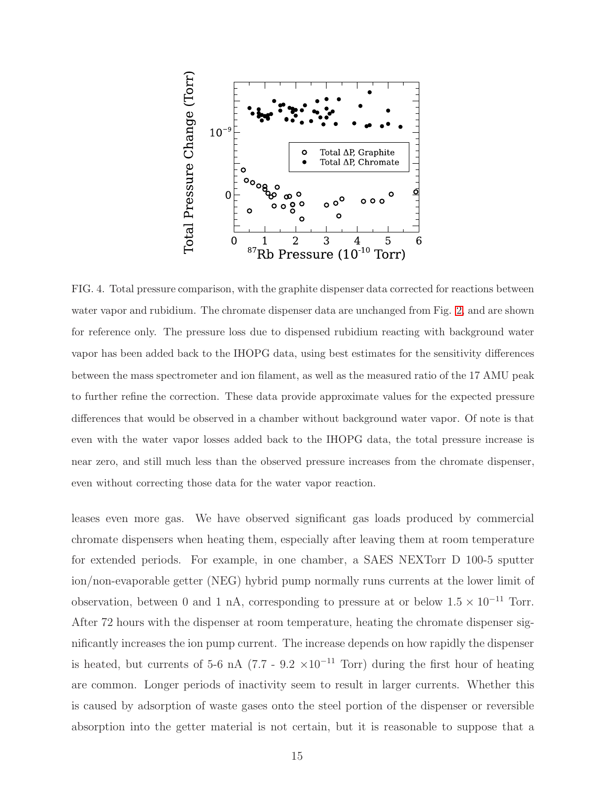

<span id="page-14-0"></span>FIG. 4. Total pressure comparison, with the graphite dispenser data corrected for reactions between water vapor and rubidium. The chromate dispenser data are unchanged from Fig. [2,](#page-9-1) and are shown for reference only. The pressure loss due to dispensed rubidium reacting with background water vapor has been added back to the IHOPG data, using best estimates for the sensitivity differences between the mass spectrometer and ion filament, as well as the measured ratio of the 17 AMU peak to further refine the correction. These data provide approximate values for the expected pressure differences that would be observed in a chamber without background water vapor. Of note is that even with the water vapor losses added back to the IHOPG data, the total pressure increase is near zero, and still much less than the observed pressure increases from the chromate dispenser, even without correcting those data for the water vapor reaction.

leases even more gas. We have observed significant gas loads produced by commercial chromate dispensers when heating them, especially after leaving them at room temperature for extended periods. For example, in one chamber, a SAES NEXTorr D 100-5 sputter ion/non-evaporable getter (NEG) hybrid pump normally runs currents at the lower limit of observation, between 0 and 1 nA, corresponding to pressure at or below  $1.5 \times 10^{-11}$  Torr. After 72 hours with the dispenser at room temperature, heating the chromate dispenser significantly increases the ion pump current. The increase depends on how rapidly the dispenser is heated, but currents of 5-6 nA (7.7 - 9.2  $\times 10^{-11}$  Torr) during the first hour of heating are common. Longer periods of inactivity seem to result in larger currents. Whether this is caused by adsorption of waste gases onto the steel portion of the dispenser or reversible absorption into the getter material is not certain, but it is reasonable to suppose that a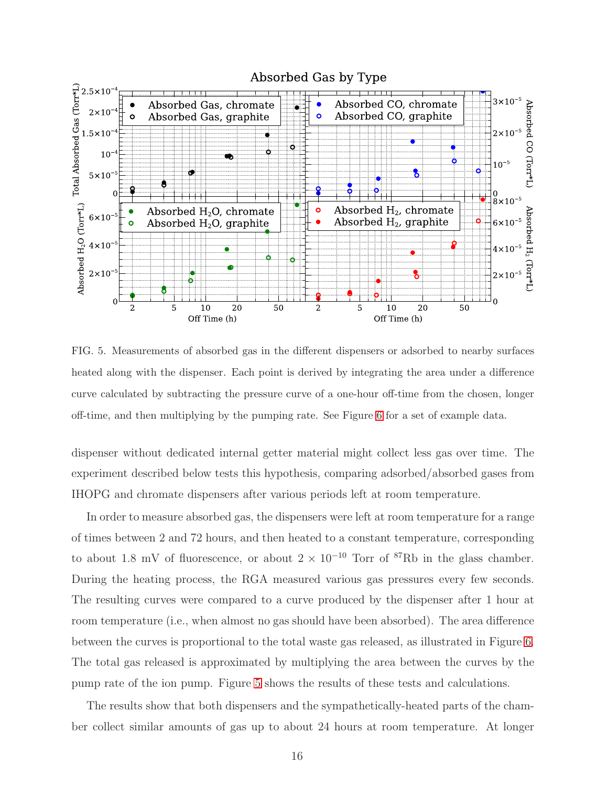

<span id="page-15-0"></span>FIG. 5. Measurements of absorbed gas in the different dispensers or adsorbed to nearby surfaces heated along with the dispenser. Each point is derived by integrating the area under a difference curve calculated by subtracting the pressure curve of a one-hour off-time from the chosen, longer off-time, and then multiplying by the pumping rate. See Figure [6](#page-16-0) for a set of example data.

dispenser without dedicated internal getter material might collect less gas over time. The experiment described below tests this hypothesis, comparing adsorbed/absorbed gases from IHOPG and chromate dispensers after various periods left at room temperature.

In order to measure absorbed gas, the dispensers were left at room temperature for a range of times between 2 and 72 hours, and then heated to a constant temperature, corresponding to about 1.8 mV of fluorescence, or about  $2 \times 10^{-10}$  Torr of <sup>87</sup>Rb in the glass chamber. During the heating process, the RGA measured various gas pressures every few seconds. The resulting curves were compared to a curve produced by the dispenser after 1 hour at room temperature (i.e., when almost no gas should have been absorbed). The area difference between the curves is proportional to the total waste gas released, as illustrated in Figure [6.](#page-16-0) The total gas released is approximated by multiplying the area between the curves by the pump rate of the ion pump. Figure [5](#page-15-0) shows the results of these tests and calculations.

The results show that both dispensers and the sympathetically-heated parts of the chamber collect similar amounts of gas up to about 24 hours at room temperature. At longer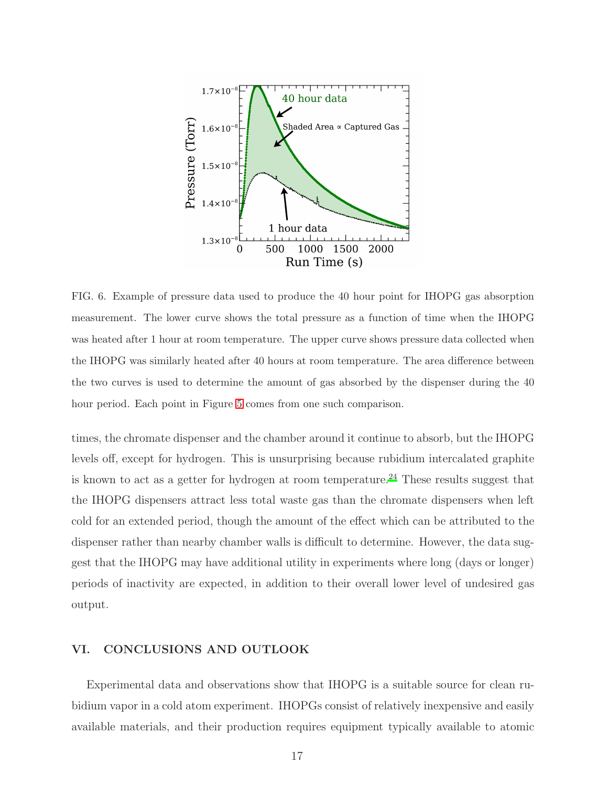

<span id="page-16-0"></span>FIG. 6. Example of pressure data used to produce the 40 hour point for IHOPG gas absorption measurement. The lower curve shows the total pressure as a function of time when the IHOPG was heated after 1 hour at room temperature. The upper curve shows pressure data collected when the IHOPG was similarly heated after 40 hours at room temperature. The area difference between the two curves is used to determine the amount of gas absorbed by the dispenser during the 40 hour period. Each point in Figure [5](#page-15-0) comes from one such comparison.

times, the chromate dispenser and the chamber around it continue to absorb, but the IHOPG levels off, except for hydrogen. This is unsurprising because rubidium intercalated graphite is known to act as a getter for hydrogen at room temperature.<sup>[24](#page-19-12)</sup> These results suggest that the IHOPG dispensers attract less total waste gas than the chromate dispensers when left cold for an extended period, though the amount of the effect which can be attributed to the dispenser rather than nearby chamber walls is difficult to determine. However, the data suggest that the IHOPG may have additional utility in experiments where long (days or longer) periods of inactivity are expected, in addition to their overall lower level of undesired gas output.

# VI. CONCLUSIONS AND OUTLOOK

Experimental data and observations show that IHOPG is a suitable source for clean rubidium vapor in a cold atom experiment. IHOPGs consist of relatively inexpensive and easily available materials, and their production requires equipment typically available to atomic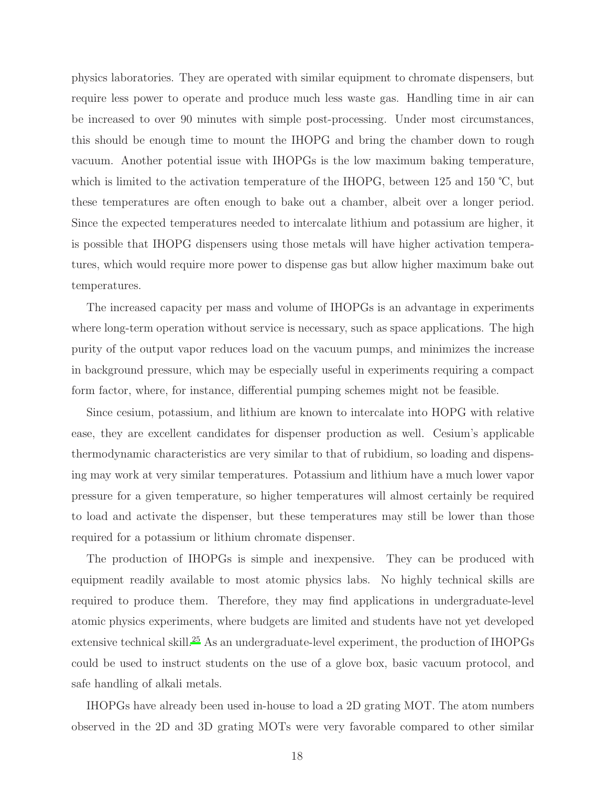physics laboratories. They are operated with similar equipment to chromate dispensers, but require less power to operate and produce much less waste gas. Handling time in air can be increased to over 90 minutes with simple post-processing. Under most circumstances, this should be enough time to mount the IHOPG and bring the chamber down to rough vacuum. Another potential issue with IHOPGs is the low maximum baking temperature, which is limited to the activation temperature of the IHOPG, between 125 and 150 ℃, but these temperatures are often enough to bake out a chamber, albeit over a longer period. Since the expected temperatures needed to intercalate lithium and potassium are higher, it is possible that IHOPG dispensers using those metals will have higher activation temperatures, which would require more power to dispense gas but allow higher maximum bake out temperatures.

The increased capacity per mass and volume of IHOPGs is an advantage in experiments where long-term operation without service is necessary, such as space applications. The high purity of the output vapor reduces load on the vacuum pumps, and minimizes the increase in background pressure, which may be especially useful in experiments requiring a compact form factor, where, for instance, differential pumping schemes might not be feasible.

Since cesium, potassium, and lithium are known to intercalate into HOPG with relative ease, they are excellent candidates for dispenser production as well. Cesium's applicable thermodynamic characteristics are very similar to that of rubidium, so loading and dispensing may work at very similar temperatures. Potassium and lithium have a much lower vapor pressure for a given temperature, so higher temperatures will almost certainly be required to load and activate the dispenser, but these temperatures may still be lower than those required for a potassium or lithium chromate dispenser.

The production of IHOPGs is simple and inexpensive. They can be produced with equipment readily available to most atomic physics labs. No highly technical skills are required to produce them. Therefore, they may find applications in undergraduate-level atomic physics experiments, where budgets are limited and students have not yet developed extensive technical skill.<sup>[25](#page-19-13)</sup> As an undergraduate-level experiment, the production of IHOPGs could be used to instruct students on the use of a glove box, basic vacuum protocol, and safe handling of alkali metals.

IHOPGs have already been used in-house to load a 2D grating MOT. The atom numbers observed in the 2D and 3D grating MOTs were very favorable compared to other similar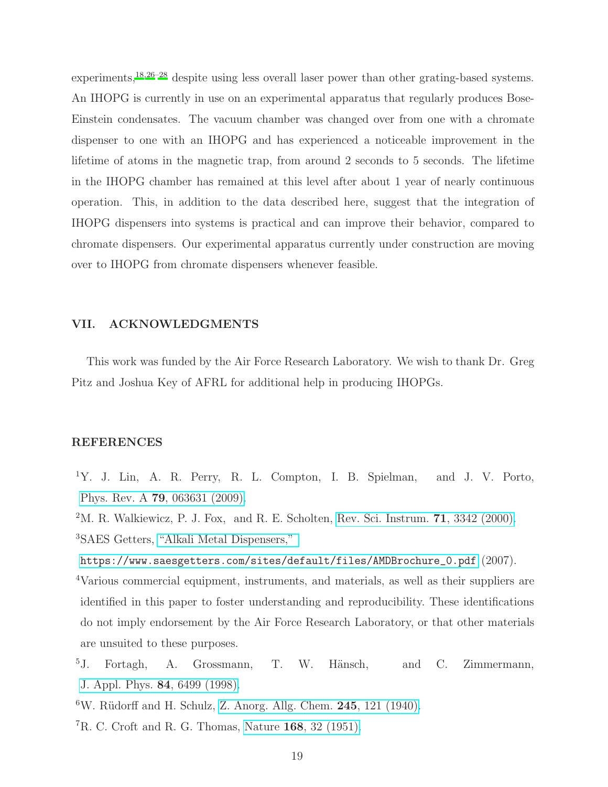experiments,  $18,26-28$  $18,26-28$  $18,26-28$  despite using less overall laser power than other grating-based systems. An IHOPG is currently in use on an experimental apparatus that regularly produces Bose-Einstein condensates. The vacuum chamber was changed over from one with a chromate dispenser to one with an IHOPG and has experienced a noticeable improvement in the lifetime of atoms in the magnetic trap, from around 2 seconds to 5 seconds. The lifetime in the IHOPG chamber has remained at this level after about 1 year of nearly continuous operation. This, in addition to the data described here, suggest that the integration of IHOPG dispensers into systems is practical and can improve their behavior, compared to chromate dispensers. Our experimental apparatus currently under construction are moving over to IHOPG from chromate dispensers whenever feasible.

#### VII. ACKNOWLEDGMENTS

This work was funded by the Air Force Research Laboratory. We wish to thank Dr. Greg Pitz and Joshua Key of AFRL for additional help in producing IHOPGs.

#### REFERENCES

- <span id="page-18-0"></span><sup>1</sup>Y. J. Lin, A. R. Perry, R. L. Compton, I. B. Spielman, and J. V. Porto, Phys. Rev. A 79[, 063631 \(2009\).](http://dx.doi.org/ 10.1103/PhysRevA.79.063631)
- <span id="page-18-2"></span><span id="page-18-1"></span> $2^{\circ}$ M. R. Walkiewicz, P. J. Fox, and R. E. Scholten, [Rev. Sci. Instrum.](http://dx.doi.org/10.1063/1.1288261)  $71$ , 3342 (2000). <sup>3</sup>SAES Getters, ["Alkali Metal Dispensers,"](https://www.saesgetters.com/sites/default/files/AMD Brochure{_}0.pdf)
- [https://www.saesgetters.com/sites/default/files/AMDBrochure\\_0.pdf](https://www.saesgetters.com/sites/default/files/AMD Brochure_0.pdf) (2007).
- <span id="page-18-3"></span><sup>4</sup>Various commercial equipment, instruments, and materials, as well as their suppliers are identified in this paper to foster understanding and reproducibility. These identifications do not imply endorsement by the Air Force Research Laboratory, or that other materials are unsuited to these purposes.
- <span id="page-18-4"></span><sup>5</sup>J. Fortagh, A. Grossmann, T. W. Hänsch, and C. Zimmermann, [J. Appl. Phys.](http://dx.doi.org/10.1063/1.369018) 84, 6499 (1998).
- <span id="page-18-5"></span> $6W$ . Rüdorff and H. Schulz, [Z. Anorg. Allg. Chem.](http://dx.doi.org/10.1002/zaac.19402450203) 245, 121 (1940).
- <span id="page-18-6"></span> ${}^{7}R$ . C. Croft and R. G. Thomas, Nature 168[, 32 \(1951\).](http://dx.doi.org/10.1038/168032c0)